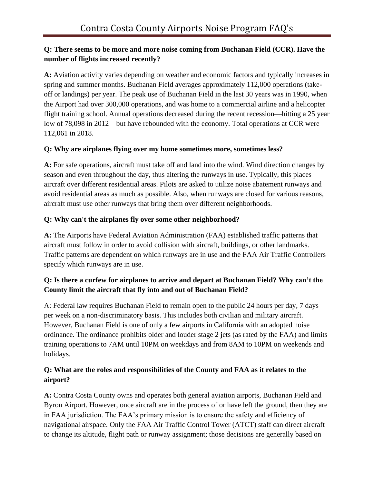### **Q: There seems to be more and more noise coming from Buchanan Field (CCR). Have the number of flights increased recently?**

**A:** Aviation activity varies depending on weather and economic factors and typically increases in spring and summer months. Buchanan Field averages approximately 112,000 operations (takeoff or landings) per year. The peak use of Buchanan Field in the last 30 years was in 1990, when the Airport had over 300,000 operations, and was home to a commercial airline and a helicopter flight training school. Annual operations decreased during the recent recession—hitting a 25 year low of 78,098 in 2012—but have rebounded with the economy. Total operations at CCR were 112,061 in 2018.

### **Q: Why are airplanes flying over my home sometimes more, sometimes less?**

**A:** For safe operations, aircraft must take off and land into the wind. Wind direction changes by season and even throughout the day, thus altering the runways in use. Typically, this places aircraft over different residential areas. Pilots are asked to utilize noise abatement runways and avoid residential areas as much as possible. Also, when runways are closed for various reasons, aircraft must use other runways that bring them over different neighborhoods.

### **Q: Why can't the airplanes fly over some other neighborhood?**

**A:** The Airports have Federal Aviation Administration (FAA) established traffic patterns that aircraft must follow in order to avoid collision with aircraft, buildings, or other landmarks. Traffic patterns are dependent on which runways are in use and the FAA Air Traffic Controllers specify which runways are in use.

# **Q: Is there a curfew for airplanes to arrive and depart at Buchanan Field? Why can't the County limit the aircraft that fly into and out of Buchanan Field?**

A: Federal law requires Buchanan Field to remain open to the public 24 hours per day, 7 days per week on a non-discriminatory basis. This includes both civilian and military aircraft. However, Buchanan Field is one of only a few airports in California with an adopted noise ordinance. The ordinance prohibits older and louder stage 2 jets (as rated by the FAA) and limits training operations to 7AM until 10PM on weekdays and from 8AM to 10PM on weekends and holidays.

## **Q: What are the roles and responsibilities of the County and FAA as it relates to the airport?**

**A:** Contra Costa County owns and operates both general aviation airports, Buchanan Field and Byron Airport. However, once aircraft are in the process of or have left the ground, then they are in FAA jurisdiction. The FAA's primary mission is to ensure the safety and efficiency of navigational airspace. Only the FAA Air Traffic Control Tower (ATCT) staff can direct aircraft to change its altitude, flight path or runway assignment; those decisions are generally based on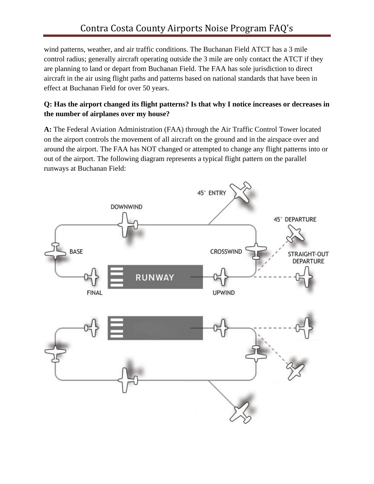wind patterns, weather, and air traffic conditions. The Buchanan Field ATCT has a 3 mile control radius; generally aircraft operating outside the 3 mile are only contact the ATCT if they are planning to land or depart from Buchanan Field. The FAA has sole jurisdiction to direct aircraft in the air using flight paths and patterns based on national standards that have been in effect at Buchanan Field for over 50 years.

# **Q: Has the airport changed its flight patterns? Is that why I notice increases or decreases in the number of airplanes over my house?**

**A:** The Federal Aviation Administration (FAA) through the Air Traffic Control Tower located on the airport controls the movement of all aircraft on the ground and in the airspace over and around the airport. The FAA has NOT changed or attempted to change any flight patterns into or out of the airport. The following diagram represents a typical flight pattern on the parallel runways at Buchanan Field:

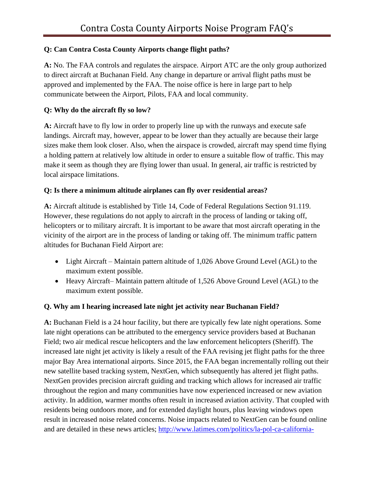## **Q: Can Contra Costa County Airports change flight paths?**

**A:** No. The FAA controls and regulates the airspace. Airport ATC are the only group authorized to direct aircraft at Buchanan Field. Any change in departure or arrival flight paths must be approved and implemented by the FAA. The noise office is here in large part to help communicate between the Airport, Pilots, FAA and local community.

## **Q: Why do the aircraft fly so low?**

**A:** Aircraft have to fly low in order to properly line up with the runways and execute safe landings. Aircraft may, however, appear to be lower than they actually are because their large sizes make them look closer. Also, when the airspace is crowded, aircraft may spend time flying a holding pattern at relatively low altitude in order to ensure a suitable flow of traffic. This may make it seem as though they are flying lower than usual. In general, air traffic is restricted by local airspace limitations.

### **Q: Is there a minimum altitude airplanes can fly over residential areas?**

**A:** Aircraft altitude is established by Title 14, Code of Federal Regulations Section 91.119. However, these regulations do not apply to aircraft in the process of landing or taking off, helicopters or to military aircraft. It is important to be aware that most aircraft operating in the vicinity of the airport are in the process of landing or taking off. The minimum traffic pattern altitudes for Buchanan Field Airport are:

- Light Aircraft Maintain pattern altitude of 1,026 Above Ground Level (AGL) to the maximum extent possible.
- Heavy Aircraft– Maintain pattern altitude of 1,526 Above Ground Level (AGL) to the maximum extent possible.

# **Q. Why am I hearing increased late night jet activity near Buchanan Field?**

**A:** Buchanan Field is a 24 hour facility, but there are typically few late night operations. Some late night operations can be attributed to the emergency service providers based at Buchanan Field; two air medical rescue helicopters and the law enforcement helicopters (Sheriff). The increased late night jet activity is likely a result of the FAA revising jet flight paths for the three major Bay Area international airports. Since 2015, the FAA began incrementally rolling out their new satellite based tracking system, NextGen, which subsequently has altered jet flight paths. NextGen provides precision aircraft guiding and tracking which allows for increased air traffic throughout the region and many communities have now experienced increased or new aviation activity. In addition, warmer months often result in increased aviation activity. That coupled with residents being outdoors more, and for extended daylight hours, plus leaving windows open result in increased noise related concerns. Noise impacts related to NextGen can be found online and are detailed in these news articles; [http://www.latimes.com/politics/la-pol-ca-california-](http://www.latimes.com/politics/la-pol-ca-california-noise-faa-html-20151117-htmlstory.html)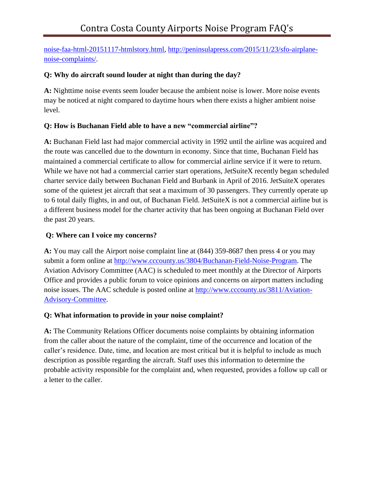[noise-faa-html-20151117-htmlstory.html,](http://www.latimes.com/politics/la-pol-ca-california-noise-faa-html-20151117-htmlstory.html) [http://peninsulapress.com/2015/11/23/sfo-airplane](http://peninsulapress.com/2015/11/23/sfo-airplane-noise-complaints/)[noise-complaints/.](http://peninsulapress.com/2015/11/23/sfo-airplane-noise-complaints/)

### **Q: Why do aircraft sound louder at night than during the day?**

**A:** Nighttime noise events seem louder because the ambient noise is lower. More noise events may be noticed at night compared to daytime hours when there exists a higher ambient noise level.

## **Q: How is Buchanan Field able to have a new "commercial airline"?**

**A:** Buchanan Field last had major commercial activity in 1992 until the airline was acquired and the route was cancelled due to the downturn in economy. Since that time, Buchanan Field has maintained a commercial certificate to allow for commercial airline service if it were to return. While we have not had a commercial carrier start operations, JetSuiteX recently began scheduled charter service daily between Buchanan Field and Burbank in April of 2016. JetSuiteX operates some of the quietest jet aircraft that seat a maximum of 30 passengers. They currently operate up to 6 total daily flights, in and out, of Buchanan Field. JetSuiteX is not a commercial airline but is a different business model for the charter activity that has been ongoing at Buchanan Field over the past 20 years.

## **Q: Where can I voice my concerns?**

**A:** You may call the Airport noise complaint line at (844) 359-8687 then press 4 or you may submit a form online at [http://www.cccounty.us/3804/Buchanan-Field-Noise-Program.](http://www.cccounty.us/3804/Buchanan-Field-Noise-Program) The Aviation Advisory Committee (AAC) is scheduled to meet monthly at the Director of Airports Office and provides a public forum to voice opinions and concerns on airport matters including noise issues. The AAC schedule is posted online at [http://www.cccounty.us/3811/Aviation-](http://www.cccounty.us/3811/Aviation-Advisory-Committee)[Advisory-Committee.](http://www.cccounty.us/3811/Aviation-Advisory-Committee)

### **Q: What information to provide in your noise complaint?**

**A:** The Community Relations Officer documents noise complaints by obtaining information from the caller about the nature of the complaint, time of the occurrence and location of the caller's residence. Date, time, and location are most critical but it is helpful to include as much description as possible regarding the aircraft. Staff uses this information to determine the probable activity responsible for the complaint and, when requested, provides a follow up call or a letter to the caller.